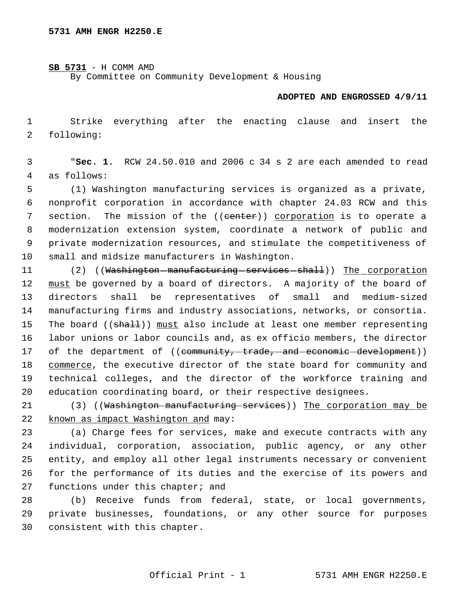**SB 5731** - H COMM AMD

By Committee on Community Development & Housing

## **ADOPTED AND ENGROSSED 4/9/11**

 1 Strike everything after the enacting clause and insert the 2 following:

 3 "**Sec. 1.** RCW 24.50.010 and 2006 c 34 s 2 are each amended to read 4 as follows:

 (1) Washington manufacturing services is organized as a private, nonprofit corporation in accordance with chapter 24.03 RCW and this 7 section. The mission of the ((eenter)) corporation is to operate a modernization extension system, coordinate a network of public and private modernization resources, and stimulate the competitiveness of small and midsize manufacturers in Washington.

11 (2) ((Washington manufacturing services shall)) The corporation 12 must be governed by a board of directors. A majority of the board of 13 directors shall be representatives of small and medium-sized 14 manufacturing firms and industry associations, networks, or consortia. 15 The board ((shall)) must also include at least one member representing 16 labor unions or labor councils and, as ex officio members, the director 17 of the department of ((community, trade, and economic development)) 18 commerce, the executive director of the state board for community and 19 technical colleges, and the director of the workforce training and 20 education coordinating board, or their respective designees.

21 (3) ((Washington manufacturing services)) The corporation may be 22 known as impact Washington and may:

 (a) Charge fees for services, make and execute contracts with any individual, corporation, association, public agency, or any other entity, and employ all other legal instruments necessary or convenient for the performance of its duties and the exercise of its powers and 27 functions under this chapter; and

28 (b) Receive funds from federal, state, or local governments, 29 private businesses, foundations, or any other source for purposes 30 consistent with this chapter.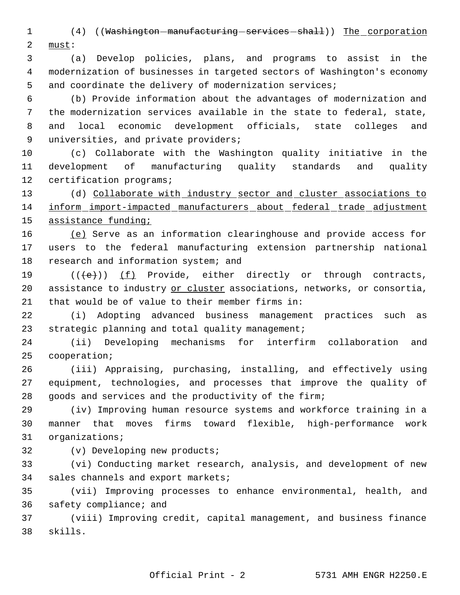1 (4) ((Washington manufacturing services shall)) The corporation must:

 (a) Develop policies, plans, and programs to assist in the modernization of businesses in targeted sectors of Washington's economy 5 and coordinate the delivery of modernization services;

 (b) Provide information about the advantages of modernization and the modernization services available in the state to federal, state, and local economic development officials, state colleges and universities, and private providers;

 (c) Collaborate with the Washington quality initiative in the development of manufacturing quality standards and quality certification programs;

 (d) Collaborate with industry sector and cluster associations to inform import-impacted manufacturers about federal trade adjustment assistance funding;

16 (e) Serve as an information clearinghouse and provide access for users to the federal manufacturing extension partnership national 18 research and information system; and

19  $((\{e\})$   $(f)$  Provide, either directly or through contracts, 20 assistance to industry or cluster associations, networks, or consortia, that would be of value to their member firms in:

 (i) Adopting advanced business management practices such as strategic planning and total quality management;

 (ii) Developing mechanisms for interfirm collaboration and cooperation;

 (iii) Appraising, purchasing, installing, and effectively using equipment, technologies, and processes that improve the quality of goods and services and the productivity of the firm;

 (iv) Improving human resource systems and workforce training in a manner that moves firms toward flexible, high-performance work organizations;

(v) Developing new products;

 (vi) Conducting market research, analysis, and development of new sales channels and export markets;

 (vii) Improving processes to enhance environmental, health, and safety compliance; and

 (viii) Improving credit, capital management, and business finance skills.